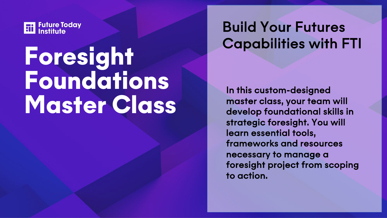

# Foresight Foundations Master Class

## Build Your Futures Capabilities with FTI

In this custom-designed master class, your team will develop foundational skills in strategic foresight. You will learn essential tools, frameworks and resources necessary to manage a foresight project from scoping to action.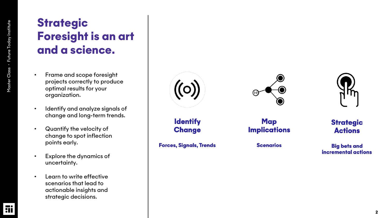## **Strategic** Foresight is an art and a science.

- Frame and scope foresight projects correctly to produce optimal results for your organization.
- Identify and analyze signals of change and long -term trends.
- Quantify the velocity of change to spot inflection points early.
- Explore the dynamics of uncertainty.
- Learn to write effective scenarios that lead to actionable insights and strategic decisions.







**Strategic Actions** 

**Big bets and** incremental actions

**Identify Implications Change Forces, Signals, Trends** 

**Scenarios** 

**Map**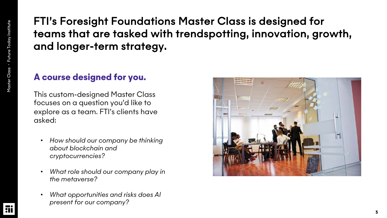### FTI's Foresight Foundations Master Class is designed for teams that are tasked with trendspotting, innovation, growth, and longer-term strategy.

#### A course designed for you.

This custom-designed Master Class focuses on a question you'd like to explore as a team. FTI's clients have asked:

- *How should our company be thinking about blockchain and cryptocurrencies?*
- *What role should our company play in the metaverse?*
- *What opportunities and risks does AI present for our company?*

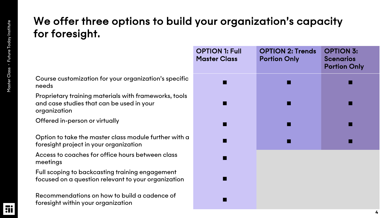#### We offer three options to build your organization's capacity for foresight.

Course customization for your organization's specific needs ! ! !

Proprietary training materials with frameworks, tools and case studies that can be used in your organization

Offered in-person or virtually

Option to take the master class module further with a foresight project in your organization

Access to coaches for office hours between class meetings !

Full scoping to backcasting training engagement focused on a question relevant to your organization !

Recommendations on how to build a cadence of foresight within your organization !

| <b>OPTION 1: Full</b><br><b>Master Class</b> | <b>OPTION 2: Trends</b><br><b>Portion Only</b> | <b>OPTION 3:</b><br><b>Scenarios</b><br><b>Portion Only</b> |
|----------------------------------------------|------------------------------------------------|-------------------------------------------------------------|
|                                              |                                                |                                                             |
|                                              |                                                |                                                             |
|                                              |                                                |                                                             |
|                                              |                                                |                                                             |
|                                              |                                                |                                                             |
|                                              |                                                |                                                             |
|                                              |                                                |                                                             |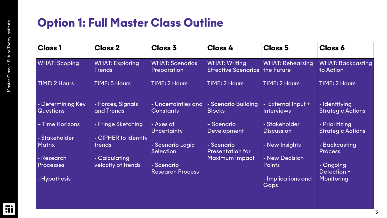## Option 1: Full Master Class Outline

| $ Cl$ ass 1                           | <b>Class 2</b>                          | <b>Class 3</b>                          | <b>Class 4</b>                                     | <b>Class 5</b>                          | <b>Class 6</b>                             |
|---------------------------------------|-----------------------------------------|-----------------------------------------|----------------------------------------------------|-----------------------------------------|--------------------------------------------|
| <b>WHAT: Scoping</b>                  | <b>WHAT: Exploring</b><br><b>Trends</b> | <b>WHAT: Scenarios</b><br>Preparation   | <b>WHAT: Writing</b><br><b>Effective Scenarios</b> | <b>WHAT: Rehearsing</b><br>the Future   | <b>WHAT: Backcasting</b><br>to Action      |
| TIME: 2 Hours                         | TIME: 3 Hours                           | TIME: 2 Hours                           | <b>TIME: 2 Hours</b>                               | <b>TIME: 2 Hours</b>                    | TIME: 2 Hours                              |
| - Determining Key<br><b>Questions</b> | - Forces, Signals<br>and Trends         | - Uncertainties and<br><b>Constants</b> | - Scenario Building<br><b>Blocks</b>               | - External Input +<br><b>Interviews</b> | - Identifying<br><b>Strategic Actions</b>  |
| - Time Horizons                       | - Fringe Sketching                      | - Axes of<br><b>Uncertainty</b>         | - Scenario<br><b>Development</b>                   | - Stakeholder<br><b>Discussion</b>      | - Prioritizing<br><b>Strategic Actions</b> |
| - Stakeholder<br><b>Matrix</b>        | - CIPHER to identify<br>trends          | - Scenario Logic<br><b>Selection</b>    | - Scenario<br><b>Presentation for</b>              | - New Insights                          | - Backcasting<br><b>Process</b>            |
| - Research                            | - Calculating                           |                                         | <b>Maximum Impact</b>                              | - New Decision                          |                                            |
| <b>Processes</b>                      | velocity of trends                      | - Scenario<br><b>Research Process</b>   |                                                    | <b>Points</b>                           | - Ongoing<br>Detection +                   |
| - Hypothesis                          |                                         |                                         |                                                    | - Implications and<br>Gaps              | Monitoring                                 |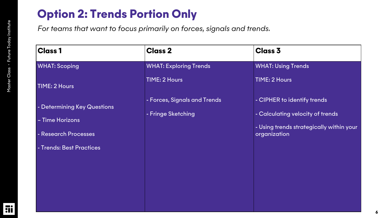## Option 2: Trends Portion Only

*For teams that want to focus primarily on forces, signals and trends.*

| <b>Class 1</b>              | <b>Class 2</b>                | <b>Class 3</b>                                           |
|-----------------------------|-------------------------------|----------------------------------------------------------|
| <b>WHAT: Scoping</b>        | <b>WHAT: Exploring Trends</b> | <b>WHAT: Using Trends</b>                                |
| <b>TIME: 2 Hours</b>        | TIME: 2 Hours                 | TIME: 2 Hours                                            |
| - Determining Key Questions | - Forces, Signals and Trends  | - CIPHER to identify trends                              |
| - Time Horizons             | - Fringe Sketching            | - Calculating velocity of trends                         |
| - Research Processes        |                               | - Using trends strategically within your<br>organization |
| - Trends: Best Practices    |                               |                                                          |
|                             |                               |                                                          |
|                             |                               |                                                          |
|                             |                               |                                                          |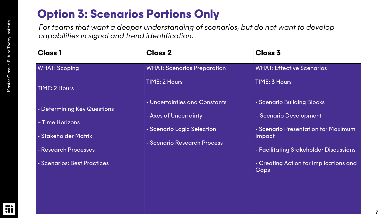## Option 3: Scenarios Portions Only

*For teams that want a deeper understanding of scenarios, but do not want to develop capabilities in signal and trend identification.*

| $ {\bf Class\,1}$                                                                              | <b>Class 2</b>                                                                                                      | <b>Class 3</b>                                                                                                                                         |
|------------------------------------------------------------------------------------------------|---------------------------------------------------------------------------------------------------------------------|--------------------------------------------------------------------------------------------------------------------------------------------------------|
| <b>WHAT: Scoping</b>                                                                           | <b>WHAT: Scenarios Preparation</b>                                                                                  | <b>WHAT: Effective Scenarios</b>                                                                                                                       |
| <b>TIME: 2 Hours</b>                                                                           | <b>TIME: 2 Hours</b>                                                                                                | TIME: 3 Hours                                                                                                                                          |
| - Determining Key Questions<br>- Time Horizons<br>- Stakeholder Matrix<br>- Research Processes | - Uncertainties and Constants<br>- Axes of Uncertainty<br>- Scenario Logic Selection<br>- Scenario Research Process | - Scenario Building Blocks<br>- Scenario Development<br>- Scenario Presentation for Maximum<br><b>Impact</b><br>- Facilitating Stakeholder Discussions |
| - Scenarios: Best Practices                                                                    |                                                                                                                     | - Creating Action for Implications and<br>Gaps                                                                                                         |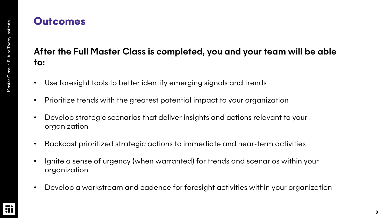#### **Outcomes**

#### After the Full Master Class is completed, you and your team will be able to:

- Use foresight tools to better identify emerging signals and trends
- Prioritize trends with the greatest potential impact to your organization
- Develop strategic scenarios that deliver insights and actions relevant to your organization
- Backcast prioritized strategic actions to immediate and near-term activities
- Ignite a sense of urgency (when warranted) for trends and scenarios within your organization
- Develop a workstream and cadence for foresight activities within your organization